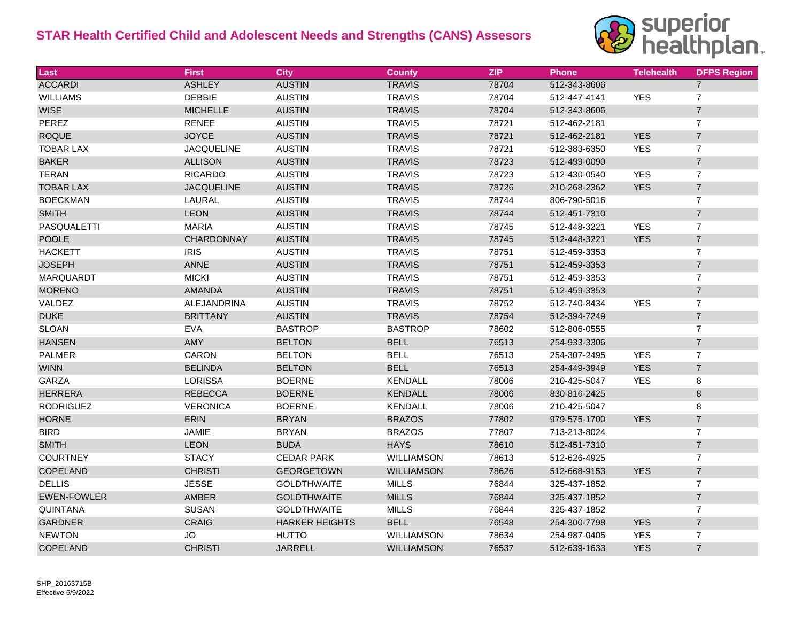## **STAR Health Certified Child and Adolescent Needs and Strengths (CANS) Assesors**



| Last               | <b>First</b>       | <b>City</b>           | <b>County</b>     | <b>ZIP</b> | <b>Phone</b> | <b>Telehealth</b> | <b>DFPS Region</b> |
|--------------------|--------------------|-----------------------|-------------------|------------|--------------|-------------------|--------------------|
| <b>ACCARDI</b>     | <b>ASHLEY</b>      | <b>AUSTIN</b>         | <b>TRAVIS</b>     | 78704      | 512-343-8606 |                   | $\overline{7}$     |
| <b>WILLIAMS</b>    | <b>DEBBIE</b>      | <b>AUSTIN</b>         | <b>TRAVIS</b>     | 78704      | 512-447-4141 | <b>YES</b>        | $\overline{7}$     |
| <b>WISE</b>        | <b>MICHELLE</b>    | <b>AUSTIN</b>         | <b>TRAVIS</b>     | 78704      | 512-343-8606 |                   | $\boldsymbol{7}$   |
| PEREZ              | <b>RENEE</b>       | <b>AUSTIN</b>         | <b>TRAVIS</b>     | 78721      | 512-462-2181 |                   | $\overline{7}$     |
| <b>ROQUE</b>       | <b>JOYCE</b>       | <b>AUSTIN</b>         | <b>TRAVIS</b>     | 78721      | 512-462-2181 | <b>YES</b>        | $\overline{7}$     |
| <b>TOBAR LAX</b>   | <b>JACQUELINE</b>  | <b>AUSTIN</b>         | <b>TRAVIS</b>     | 78721      | 512-383-6350 | <b>YES</b>        | $\overline{7}$     |
| <b>BAKER</b>       | <b>ALLISON</b>     | <b>AUSTIN</b>         | <b>TRAVIS</b>     | 78723      | 512-499-0090 |                   | $\sqrt{7}$         |
| <b>TERAN</b>       | <b>RICARDO</b>     | <b>AUSTIN</b>         | <b>TRAVIS</b>     | 78723      | 512-430-0540 | <b>YES</b>        | $\overline{7}$     |
| <b>TOBAR LAX</b>   | <b>JACQUELINE</b>  | <b>AUSTIN</b>         | <b>TRAVIS</b>     | 78726      | 210-268-2362 | <b>YES</b>        | $\overline{7}$     |
| <b>BOECKMAN</b>    | LAURAL             | <b>AUSTIN</b>         | <b>TRAVIS</b>     | 78744      | 806-790-5016 |                   | $\overline{7}$     |
| <b>SMITH</b>       | <b>LEON</b>        | <b>AUSTIN</b>         | <b>TRAVIS</b>     | 78744      | 512-451-7310 |                   | $\overline{7}$     |
| <b>PASQUALETTI</b> | <b>MARIA</b>       | <b>AUSTIN</b>         | <b>TRAVIS</b>     | 78745      | 512-448-3221 | <b>YES</b>        | $\boldsymbol{7}$   |
| <b>POOLE</b>       | <b>CHARDONNAY</b>  | <b>AUSTIN</b>         | <b>TRAVIS</b>     | 78745      | 512-448-3221 | <b>YES</b>        | $\overline{7}$     |
| <b>HACKETT</b>     | <b>IRIS</b>        | <b>AUSTIN</b>         | <b>TRAVIS</b>     | 78751      | 512-459-3353 |                   | $\overline{7}$     |
| <b>JOSEPH</b>      | ANNE               | <b>AUSTIN</b>         | <b>TRAVIS</b>     | 78751      | 512-459-3353 |                   | $\boldsymbol{7}$   |
| <b>MARQUARDT</b>   | <b>MICKI</b>       | <b>AUSTIN</b>         | <b>TRAVIS</b>     | 78751      | 512-459-3353 |                   | $\overline{7}$     |
| <b>MORENO</b>      | <b>AMANDA</b>      | <b>AUSTIN</b>         | <b>TRAVIS</b>     | 78751      | 512-459-3353 |                   | $\overline{7}$     |
| VALDEZ             | <b>ALEJANDRINA</b> | <b>AUSTIN</b>         | <b>TRAVIS</b>     | 78752      | 512-740-8434 | <b>YES</b>        | $\overline{7}$     |
| <b>DUKE</b>        | <b>BRITTANY</b>    | <b>AUSTIN</b>         | <b>TRAVIS</b>     | 78754      | 512-394-7249 |                   | $\boldsymbol{7}$   |
| <b>SLOAN</b>       | <b>EVA</b>         | <b>BASTROP</b>        | <b>BASTROP</b>    | 78602      | 512-806-0555 |                   | $\overline{7}$     |
| <b>HANSEN</b>      | AMY                | <b>BELTON</b>         | <b>BELL</b>       | 76513      | 254-933-3306 |                   | $\overline{7}$     |
| <b>PALMER</b>      | CARON              | <b>BELTON</b>         | <b>BELL</b>       | 76513      | 254-307-2495 | <b>YES</b>        | $\overline{7}$     |
| <b>WINN</b>        | <b>BELINDA</b>     | <b>BELTON</b>         | <b>BELL</b>       | 76513      | 254-449-3949 | <b>YES</b>        | $\overline{7}$     |
| <b>GARZA</b>       | <b>LORISSA</b>     | <b>BOERNE</b>         | <b>KENDALL</b>    | 78006      | 210-425-5047 | <b>YES</b>        | 8                  |
| <b>HERRERA</b>     | <b>REBECCA</b>     | <b>BOERNE</b>         | <b>KENDALL</b>    | 78006      | 830-816-2425 |                   | 8                  |
| <b>RODRIGUEZ</b>   | <b>VERONICA</b>    | <b>BOERNE</b>         | <b>KENDALL</b>    | 78006      | 210-425-5047 |                   | 8                  |
| <b>HORNE</b>       | ERIN               | <b>BRYAN</b>          | <b>BRAZOS</b>     | 77802      | 979-575-1700 | <b>YES</b>        | $\sqrt{7}$         |
| <b>BIRD</b>        | <b>JAMIE</b>       | <b>BRYAN</b>          | <b>BRAZOS</b>     | 77807      | 713-213-8024 |                   | $\overline{7}$     |
| <b>SMITH</b>       | <b>LEON</b>        | <b>BUDA</b>           | <b>HAYS</b>       | 78610      | 512-451-7310 |                   | $\boldsymbol{7}$   |
| <b>COURTNEY</b>    | <b>STACY</b>       | <b>CEDAR PARK</b>     | <b>WILLIAMSON</b> | 78613      | 512-626-4925 |                   | $\overline{7}$     |
| COPELAND           | <b>CHRISTI</b>     | <b>GEORGETOWN</b>     | WILLIAMSON        | 78626      | 512-668-9153 | <b>YES</b>        | $\sqrt{7}$         |
| <b>DELLIS</b>      | <b>JESSE</b>       | <b>GOLDTHWAITE</b>    | <b>MILLS</b>      | 76844      | 325-437-1852 |                   | $\overline{7}$     |
| <b>EWEN-FOWLER</b> | AMBER              | <b>GOLDTHWAITE</b>    | <b>MILLS</b>      | 76844      | 325-437-1852 |                   | $\boldsymbol{7}$   |
| QUINTANA           | <b>SUSAN</b>       | <b>GOLDTHWAITE</b>    | <b>MILLS</b>      | 76844      | 325-437-1852 |                   | $\overline{7}$     |
| <b>GARDNER</b>     | <b>CRAIG</b>       | <b>HARKER HEIGHTS</b> | <b>BELL</b>       | 76548      | 254-300-7798 | <b>YES</b>        | $\overline{7}$     |
| <b>NEWTON</b>      | <b>JO</b>          | <b>HUTTO</b>          | <b>WILLIAMSON</b> | 78634      | 254-987-0405 | <b>YES</b>        | $\overline{7}$     |
| COPELAND           | <b>CHRISTI</b>     | <b>JARRELL</b>        | <b>WILLIAMSON</b> | 76537      | 512-639-1633 | <b>YES</b>        | $\overline{7}$     |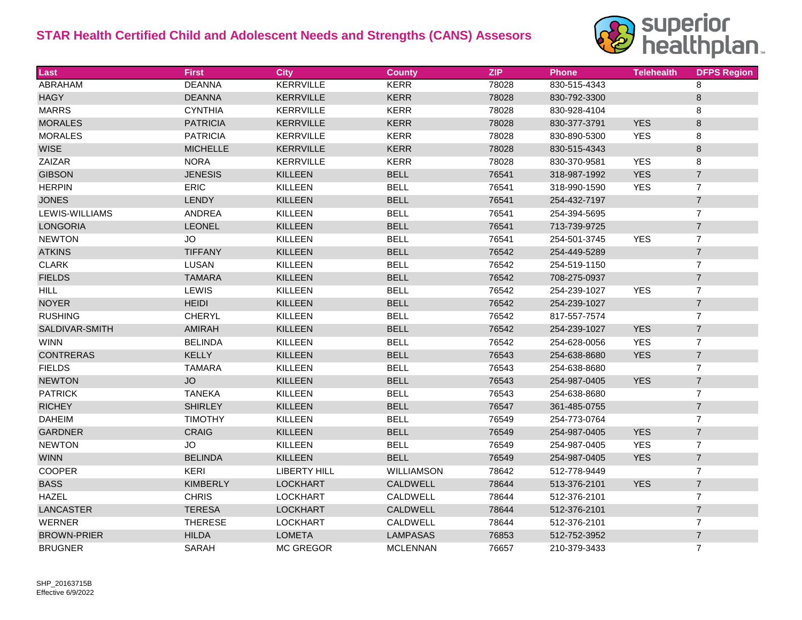## **STAR Health Certified Child and Adolescent Needs and Strengths (CANS) Assesors**



| <b>Last</b>        | <b>First</b>    | <b>City</b>         | <b>County</b>   | <b>ZIP</b> | <b>Phone</b> | <b>Telehealth</b> | <b>DFPS Region</b> |
|--------------------|-----------------|---------------------|-----------------|------------|--------------|-------------------|--------------------|
| <b>ABRAHAM</b>     | <b>DEANNA</b>   | <b>KERRVILLE</b>    | <b>KERR</b>     | 78028      | 830-515-4343 |                   | 8                  |
| <b>HAGY</b>        | <b>DEANNA</b>   | KERRVILLE           | <b>KERR</b>     | 78028      | 830-792-3300 |                   | 8                  |
| <b>MARRS</b>       | <b>CYNTHIA</b>  | <b>KERRVILLE</b>    | <b>KERR</b>     | 78028      | 830-928-4104 |                   | 8                  |
| <b>MORALES</b>     | <b>PATRICIA</b> | <b>KERRVILLE</b>    | <b>KERR</b>     | 78028      | 830-377-3791 | <b>YES</b>        | $\bf 8$            |
| <b>MORALES</b>     | <b>PATRICIA</b> | <b>KERRVILLE</b>    | <b>KERR</b>     | 78028      | 830-890-5300 | <b>YES</b>        | 8                  |
| <b>WISE</b>        | <b>MICHELLE</b> | KERRVILLE           | <b>KERR</b>     | 78028      | 830-515-4343 |                   | $\bf 8$            |
| ZAIZAR             | <b>NORA</b>     | <b>KERRVILLE</b>    | <b>KERR</b>     | 78028      | 830-370-9581 | <b>YES</b>        | 8                  |
| <b>GIBSON</b>      | <b>JENESIS</b>  | <b>KILLEEN</b>      | <b>BELL</b>     | 76541      | 318-987-1992 | <b>YES</b>        | $\overline{7}$     |
| <b>HERPIN</b>      | <b>ERIC</b>     | <b>KILLEEN</b>      | <b>BELL</b>     | 76541      | 318-990-1590 | <b>YES</b>        | $\overline{7}$     |
| <b>JONES</b>       | LENDY           | KILLEEN             | <b>BELL</b>     | 76541      | 254-432-7197 |                   | $\overline{7}$     |
| LEWIS-WILLIAMS     | <b>ANDREA</b>   | <b>KILLEEN</b>      | <b>BELL</b>     | 76541      | 254-394-5695 |                   | $\overline{7}$     |
| <b>LONGORIA</b>    | LEONEL          | KILLEEN             | <b>BELL</b>     | 76541      | 713-739-9725 |                   | $\overline{7}$     |
| <b>NEWTON</b>      | <b>JO</b>       | <b>KILLEEN</b>      | <b>BELL</b>     | 76541      | 254-501-3745 | <b>YES</b>        | $\overline{7}$     |
| <b>ATKINS</b>      | <b>TIFFANY</b>  | <b>KILLEEN</b>      | <b>BELL</b>     | 76542      | 254-449-5289 |                   | $\overline{7}$     |
| <b>CLARK</b>       | LUSAN           | <b>KILLEEN</b>      | <b>BELL</b>     | 76542      | 254-519-1150 |                   | $\overline{7}$     |
| <b>FIELDS</b>      | <b>TAMARA</b>   | KILLEEN             | <b>BELL</b>     | 76542      | 708-275-0937 |                   | $\overline{7}$     |
| <b>HILL</b>        | LEWIS           | <b>KILLEEN</b>      | <b>BELL</b>     | 76542      | 254-239-1027 | <b>YES</b>        | $\overline{7}$     |
| <b>NOYER</b>       | <b>HEIDI</b>    | KILLEEN             | <b>BELL</b>     | 76542      | 254-239-1027 |                   | $\overline{7}$     |
| <b>RUSHING</b>     | <b>CHERYL</b>   | <b>KILLEEN</b>      | <b>BELL</b>     | 76542      | 817-557-7574 |                   | $\overline{7}$     |
| SALDIVAR-SMITH     | AMIRAH          | KILLEEN             | <b>BELL</b>     | 76542      | 254-239-1027 | <b>YES</b>        | $\overline{7}$     |
| <b>WINN</b>        | <b>BELINDA</b>  | <b>KILLEEN</b>      | <b>BELL</b>     | 76542      | 254-628-0056 | <b>YES</b>        | $\overline{7}$     |
| <b>CONTRERAS</b>   | KELLY           | <b>KILLEEN</b>      | <b>BELL</b>     | 76543      | 254-638-8680 | <b>YES</b>        | $\overline{7}$     |
| <b>FIELDS</b>      | <b>TAMARA</b>   | KILLEEN             | <b>BELL</b>     | 76543      | 254-638-8680 |                   | $\overline{7}$     |
| <b>NEWTON</b>      | <b>JO</b>       | <b>KILLEEN</b>      | <b>BELL</b>     | 76543      | 254-987-0405 | <b>YES</b>        | $\overline{7}$     |
| <b>PATRICK</b>     | <b>TANEKA</b>   | KILLEEN             | <b>BELL</b>     | 76543      | 254-638-8680 |                   | $\overline{7}$     |
| <b>RICHEY</b>      | <b>SHIRLEY</b>  | <b>KILLEEN</b>      | <b>BELL</b>     | 76547      | 361-485-0755 |                   | $\overline{7}$     |
| <b>DAHEIM</b>      | <b>TIMOTHY</b>  | <b>KILLEEN</b>      | <b>BELL</b>     | 76549      | 254-773-0764 |                   | $\boldsymbol{7}$   |
| <b>GARDNER</b>     | <b>CRAIG</b>    | <b>KILLEEN</b>      | <b>BELL</b>     | 76549      | 254-987-0405 | <b>YES</b>        | $\overline{7}$     |
| <b>NEWTON</b>      | <b>JO</b>       | KILLEEN             | <b>BELL</b>     | 76549      | 254-987-0405 | <b>YES</b>        | $\overline{7}$     |
| <b>WINN</b>        | <b>BELINDA</b>  | <b>KILLEEN</b>      | <b>BELL</b>     | 76549      | 254-987-0405 | <b>YES</b>        | $\overline{7}$     |
| <b>COOPER</b>      | <b>KERI</b>     | <b>LIBERTY HILL</b> | WILLIAMSON      | 78642      | 512-778-9449 |                   | $\overline{7}$     |
| <b>BASS</b>        | <b>KIMBERLY</b> | <b>LOCKHART</b>     | <b>CALDWELL</b> | 78644      | 513-376-2101 | <b>YES</b>        | $\overline{7}$     |
| <b>HAZEL</b>       | <b>CHRIS</b>    | <b>LOCKHART</b>     | CALDWELL        | 78644      | 512-376-2101 |                   | $\overline{7}$     |
| LANCASTER          | <b>TERESA</b>   | <b>LOCKHART</b>     | <b>CALDWELL</b> | 78644      | 512-376-2101 |                   | $\overline{7}$     |
| <b>WERNER</b>      | <b>THERESE</b>  | <b>LOCKHART</b>     | CALDWELL        | 78644      | 512-376-2101 |                   | $\overline{7}$     |
| <b>BROWN-PRIER</b> | <b>HILDA</b>    | <b>LOMETA</b>       | <b>LAMPASAS</b> | 76853      | 512-752-3952 |                   | $\overline{7}$     |
| <b>BRUGNER</b>     | SARAH           | <b>MC GREGOR</b>    | <b>MCLENNAN</b> | 76657      | 210-379-3433 |                   | $\overline{7}$     |